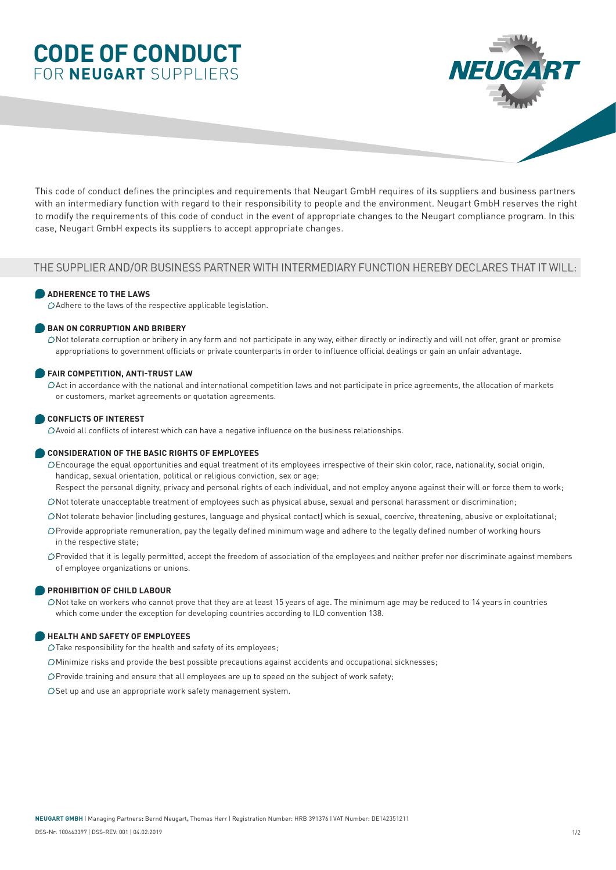# **CODE OF CONDUCT** FOR **NEUGART** SUPPLIERS



This code of conduct defines the principles and requirements that Neugart GmbH requires of its suppliers and business partners with an intermediary function with regard to their responsibility to people and the environment. Neugart GmbH reserves the right to modify the requirements of this code of conduct in the event of appropriate changes to the Neugart compliance program. In this case, Neugart GmbH expects its suppliers to accept appropriate changes.

## THE SUPPLIER AND/OR BUSINESS PARTNER WITH INTERMEDIARY FUNCTION HEREBY DECLARES THAT IT WILL:

## **ADHERENCE TO THE LAWS**

Adhere to the laws of the respective applicable legislation.

## **BAN ON CORRUPTION AND BRIBERY**

 $\bigcirc$  Not tolerate corruption or bribery in any form and not participate in any way, either directly or indirectly and will not offer, grant or promise appropriations to government officials or private counterparts in order to influence official dealings or gain an unfair advantage.

## **FAIR COMPETITION, ANTI-TRUST LAW**

 Act in accordance with the national and international competition laws and not participate in price agreements, the allocation of markets or customers, market agreements or quotation agreements.

## **CONFLICTS OF INTEREST**

Avoid all conflicts of interest which can have a negative influence on the business relationships.

### **CONSIDERATION OF THE BASIC RIGHTS OF EMPLOYEES**

 Encourage the equal opportunities and equal treatment of its employees irrespective of their skin color, race, nationality, social origin, handicap, sexual orientation, political or religious conviction, sex or age;

Respect the personal dignity, privacy and personal rights of each individual, and not employ anyone against their will or force them to work;

Not tolerate unacceptable treatment of employees such as physical abuse, sexual and personal harassment or discrimination;

Not tolerate behavior (including gestures, language and physical contact) which is sexual, coercive, threatening, abusive or exploitational;

 Provide appropriate remuneration, pay the legally defined minimum wage and adhere to the legally defined number of working hours in the respective state;

 Provided that it is legally permitted, accept the freedom of association of the employees and neither prefer nor discriminate against members of employee organizations or unions.

## **PROHIBITION OF CHILD LABOUR**

 $\triangle$  Not take on workers who cannot prove that they are at least 15 years of age. The minimum age may be reduced to 14 years in countries which come under the exception for developing countries according to ILO convention 138.

### **HEALTH AND SAFETY OF EMPLOYEES**

 $\bigcirc$  Take responsibility for the health and safety of its employees;

Minimize risks and provide the best possible precautions against accidents and occupational sicknesses;

Provide training and ensure that all employees are up to speed on the subject of work safety;

OSet up and use an appropriate work safety management system.